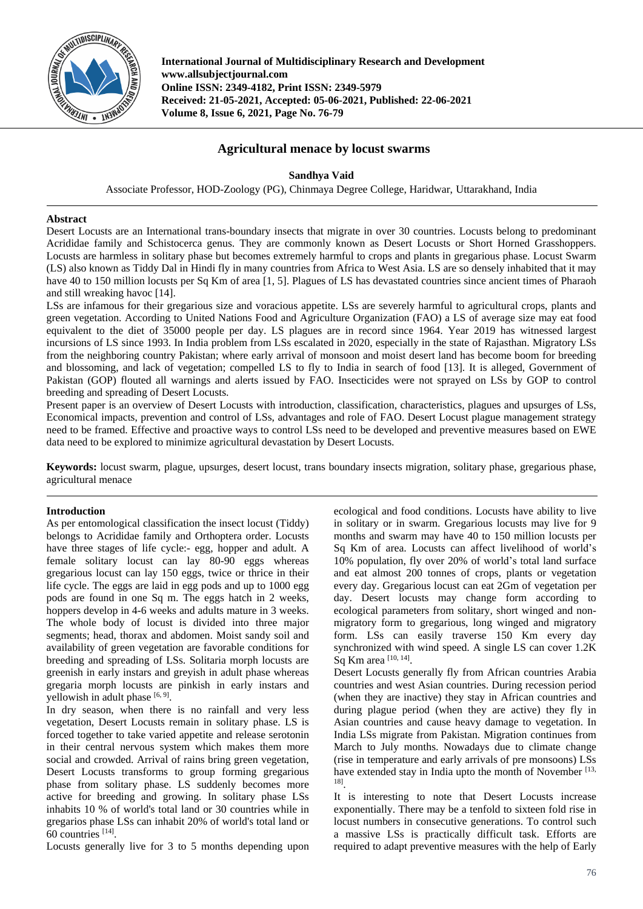

**International Journal of Multidisciplinary Research and Development www.allsubjectjournal.com Online ISSN: 2349-4182, Print ISSN: 2349-5979 Received: 21-05-2021, Accepted: 05-06-2021, Published: 22-06-2021 Volume 8, Issue 6, 2021, Page No. 76-79**

# **Agricultural menace by locust swarms**

# **Sandhya Vaid**

Associate Professor, HOD-Zoology (PG), Chinmaya Degree College, Haridwar, Uttarakhand, India

## **Abstract**

Desert Locusts are an International trans-boundary insects that migrate in over 30 countries. Locusts belong to predominant Acrididae family and Schistocerca genus. They are commonly known as Desert Locusts or Short Horned Grasshoppers. Locusts are harmless in solitary phase but becomes extremely harmful to crops and plants in gregarious phase. Locust Swarm (LS) also known as Tiddy Dal in Hindi fly in many countries from Africa to West Asia. LS are so densely inhabited that it may have 40 to 150 million locusts per Sq Km of area [1, 5]. Plagues of LS has devastated countries since ancient times of Pharaoh and still wreaking havoc [14].

LSs are infamous for their gregarious size and voracious appetite. LSs are severely harmful to agricultural crops, plants and green vegetation. According to United Nations Food and Agriculture Organization (FAO) a LS of average size may eat food equivalent to the diet of 35000 people per day. LS plagues are in record since 1964. Year 2019 has witnessed largest incursions of LS since 1993. In India problem from LSs escalated in 2020, especially in the state of Rajasthan. Migratory LSs from the neighboring country Pakistan; where early arrival of monsoon and moist desert land has become boom for breeding and blossoming, and lack of vegetation; compelled LS to fly to India in search of food [13]. It is alleged, Government of Pakistan (GOP) flouted all warnings and alerts issued by FAO. Insecticides were not sprayed on LSs by GOP to control breeding and spreading of Desert Locusts.

Present paper is an overview of Desert Locusts with introduction, classification, characteristics, plagues and upsurges of LSs, Economical impacts, prevention and control of LSs, advantages and role of FAO. Desert Locust plague management strategy need to be framed. Effective and proactive ways to control LSs need to be developed and preventive measures based on EWE data need to be explored to minimize agricultural devastation by Desert Locusts.

**Keywords:** locust swarm, plague, upsurges, desert locust, trans boundary insects migration, solitary phase, gregarious phase, agricultural menace

# **Introduction**

As per entomological classification the insect locust (Tiddy) belongs to Acrididae family and Orthoptera order. Locusts have three stages of life cycle:- egg, hopper and adult. A female solitary locust can lay 80-90 eggs whereas gregarious locust can lay 150 eggs, twice or thrice in their life cycle. The eggs are laid in egg pods and up to 1000 egg pods are found in one Sq m. The eggs hatch in 2 weeks, hoppers develop in 4-6 weeks and adults mature in 3 weeks. The whole body of locust is divided into three major segments; head, thorax and abdomen. Moist sandy soil and availability of green vegetation are favorable conditions for breeding and spreading of LSs. Solitaria morph locusts are greenish in early instars and greyish in adult phase whereas gregaria morph locusts are pinkish in early instars and yellowish in adult phase [6, 9].

In dry season, when there is no rainfall and very less vegetation, Desert Locusts remain in solitary phase. LS is forced together to take varied appetite and release serotonin in their central nervous system which makes them more social and crowded. Arrival of rains bring green vegetation, Desert Locusts transforms to group forming gregarious phase from solitary phase. LS suddenly becomes more active for breeding and growing. In solitary phase LSs inhabits 10 % of world's total land or 30 countries while in gregarios phase LSs can inhabit 20% of world's total land or 60 countries [14] .

Locusts generally live for 3 to 5 months depending upon

ecological and food conditions. Locusts have ability to live in solitary or in swarm. Gregarious locusts may live for 9 months and swarm may have 40 to 150 million locusts per Sq Km of area. Locusts can affect livelihood of world's 10% population, fly over 20% of world's total land surface and eat almost 200 tonnes of crops, plants or vegetation every day. Gregarious locust can eat 2Gm of vegetation per day. Desert locusts may change form according to ecological parameters from solitary, short winged and nonmigratory form to gregarious, long winged and migratory form. LSs can easily traverse 150 Km every day synchronized with wind speed. A single LS can cover 1.2K Sq Km area [10, 14].

Desert Locusts generally fly from African countries Arabia countries and west Asian countries. During recession period (when they are inactive) they stay in African countries and during plague period (when they are active) they fly in Asian countries and cause heavy damage to vegetation. In India LSs migrate from Pakistan. Migration continues from March to July months. Nowadays due to climate change (rise in temperature and early arrivals of pre monsoons) LSs have extended stay in India upto the month of November [13, 18] .

It is interesting to note that Desert Locusts increase exponentially. There may be a tenfold to sixteen fold rise in locust numbers in consecutive generations. To control such a massive LSs is practically difficult task. Efforts are required to adapt preventive measures with the help of Early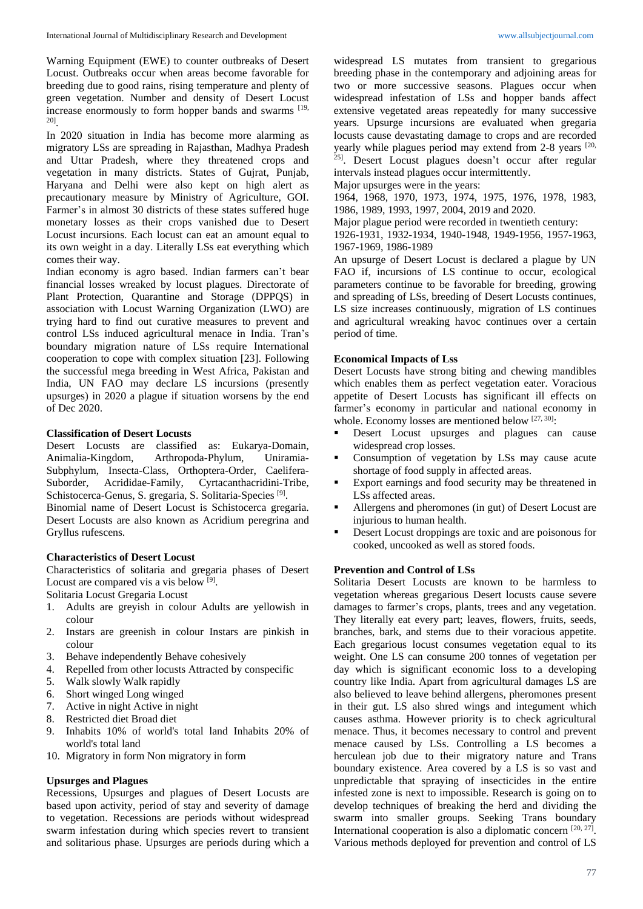Warning Equipment (EWE) to counter outbreaks of Desert Locust. Outbreaks occur when areas become favorable for breeding due to good rains, rising temperature and plenty of green vegetation. Number and density of Desert Locust increase enormously to form hopper bands and swarms [19, 20] .

In 2020 situation in India has become more alarming as migratory LSs are spreading in Rajasthan, Madhya Pradesh and Uttar Pradesh, where they threatened crops and vegetation in many districts. States of Gujrat, Punjab, Haryana and Delhi were also kept on high alert as precautionary measure by Ministry of Agriculture, GOI. Farmer's in almost 30 districts of these states suffered huge monetary losses as their crops vanished due to Desert Locust incursions. Each locust can eat an amount equal to its own weight in a day. Literally LSs eat everything which comes their way.

Indian economy is agro based. Indian farmers can't bear financial losses wreaked by locust plagues. Directorate of Plant Protection, Quarantine and Storage (DPPQS) in association with Locust Warning Organization (LWO) are trying hard to find out curative measures to prevent and control LSs induced agricultural menace in India. Tran's boundary migration nature of LSs require International cooperation to cope with complex situation [23]. Following the successful mega breeding in West Africa, Pakistan and India, UN FAO may declare LS incursions (presently upsurges) in 2020 a plague if situation worsens by the end of Dec 2020.

## **Classification of Desert Locusts**

Desert Locusts are classified as: Eukarya-Domain, Animalia-Kingdom, Arthropoda-Phylum, Uniramia-Subphylum, Insecta-Class, Orthoptera-Order, Caelifera-Suborder, Acrididae-Family, Cyrtacanthacridini-Tribe, Schistocerca-Genus, S. gregaria, S. Solitaria-Species<sup>[9]</sup>.

Binomial name of Desert Locust is Schistocerca gregaria. Desert Locusts are also known as Acridium peregrina and Gryllus rufescens.

### **Characteristics of Desert Locust**

Characteristics of solitaria and gregaria phases of Desert Locust are compared vis a vis below [9].

Solitaria Locust Gregaria Locust

- 1. Adults are greyish in colour Adults are yellowish in colour
- 2. Instars are greenish in colour Instars are pinkish in colour
- 3. Behave independently Behave cohesively
- 4. Repelled from other locusts Attracted by conspecific
- 5. Walk slowly Walk rapidly
- 6. Short winged Long winged
- 7. Active in night Active in night
- 8. Restricted diet Broad diet
- 9. Inhabits 10% of world's total land Inhabits 20% of world's total land
- 10. Migratory in form Non migratory in form

## **Upsurges and Plagues**

Recessions, Upsurges and plagues of Desert Locusts are based upon activity, period of stay and severity of damage to vegetation. Recessions are periods without widespread swarm infestation during which species revert to transient and solitarious phase. Upsurges are periods during which a widespread LS mutates from transient to gregarious breeding phase in the contemporary and adjoining areas for two or more successive seasons. Plagues occur when widespread infestation of LSs and hopper bands affect extensive vegetated areas repeatedly for many successive years. Upsurge incursions are evaluated when gregaria locusts cause devastating damage to crops and are recorded yearly while plagues period may extend from  $2-8$  years  $[20, 12]$ 25] . Desert Locust plagues doesn't occur after regular intervals instead plagues occur intermittently.

Major upsurges were in the years:

1964, 1968, 1970, 1973, 1974, 1975, 1976, 1978, 1983, 1986, 1989, 1993, 1997, 2004, 2019 and 2020.

Major plague period were recorded in twentieth century:

1926-1931, 1932-1934, 1940-1948, 1949-1956, 1957-1963, 1967-1969, 1986-1989

An upsurge of Desert Locust is declared a plague by UN FAO if, incursions of LS continue to occur, ecological parameters continue to be favorable for breeding, growing and spreading of LSs, breeding of Desert Locusts continues, LS size increases continuously, migration of LS continues and agricultural wreaking havoc continues over a certain period of time.

## **Economical Impacts of Lss**

Desert Locusts have strong biting and chewing mandibles which enables them as perfect vegetation eater. Voracious appetite of Desert Locusts has significant ill effects on farmer's economy in particular and national economy in whole. Economy losses are mentioned below  $[27, 30]$ :

- Desert Locust upsurges and plagues can cause widespread crop losses.
- Consumption of vegetation by LSs may cause acute shortage of food supply in affected areas.
- Export earnings and food security may be threatened in LSs affected areas.
- Allergens and pheromones (in gut) of Desert Locust are injurious to human health.
- Desert Locust droppings are toxic and are poisonous for cooked, uncooked as well as stored foods.

### **Prevention and Control of LSs**

Solitaria Desert Locusts are known to be harmless to vegetation whereas gregarious Desert locusts cause severe damages to farmer's crops, plants, trees and any vegetation. They literally eat every part; leaves, flowers, fruits, seeds, branches, bark, and stems due to their voracious appetite. Each gregarious locust consumes vegetation equal to its weight. One LS can consume 200 tonnes of vegetation per day which is significant economic loss to a developing country like India. Apart from agricultural damages LS are also believed to leave behind allergens, pheromones present in their gut. LS also shred wings and integument which causes asthma. However priority is to check agricultural menace. Thus, it becomes necessary to control and prevent menace caused by LSs. Controlling a LS becomes a herculean job due to their migratory nature and Trans boundary existence. Area covered by a LS is so vast and unpredictable that spraying of insecticides in the entire infested zone is next to impossible. Research is going on to develop techniques of breaking the herd and dividing the swarm into smaller groups. Seeking Trans boundary International cooperation is also a diplomatic concern [20, 27] . Various methods deployed for prevention and control of LS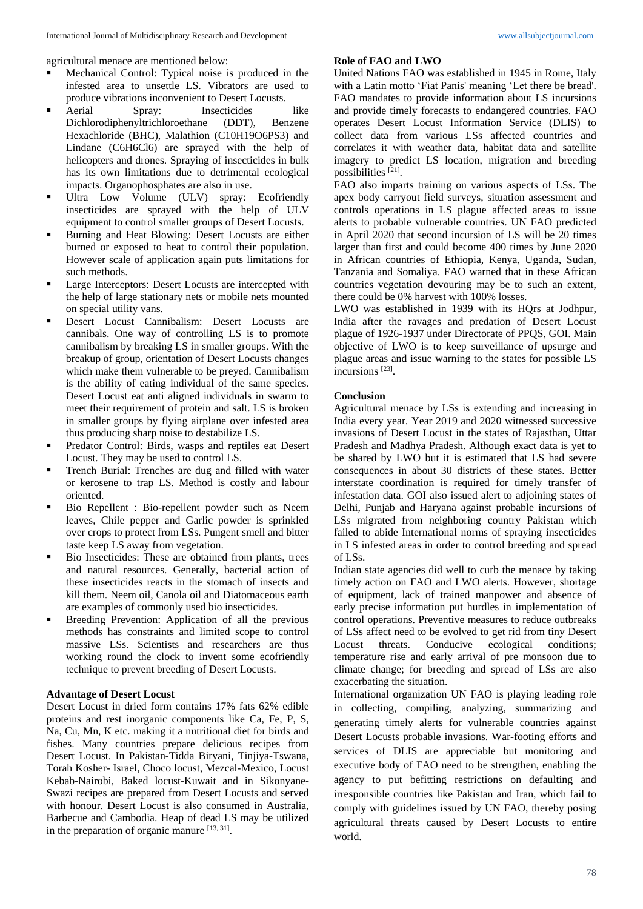agricultural menace are mentioned below:

- Mechanical Control: Typical noise is produced in the infested area to unsettle LS. Vibrators are used to produce vibrations inconvenient to Desert Locusts.
- Aerial Spray: Insecticides like Dichlorodiphenyltrichloroethane (DDT), Benzene Hexachloride (BHC), Malathion (C10H19O6PS3) and Lindane (C6H6Cl6) are sprayed with the help of helicopters and drones. Spraying of insecticides in bulk has its own limitations due to detrimental ecological impacts. Organophosphates are also in use.
- Ultra Low Volume (ULV) spray: Ecofriendly insecticides are sprayed with the help of ULV equipment to control smaller groups of Desert Locusts.
- Burning and Heat Blowing: Desert Locusts are either burned or exposed to heat to control their population. However scale of application again puts limitations for such methods.
- Large Interceptors: Desert Locusts are intercepted with the help of large stationary nets or mobile nets mounted on special utility vans.
- Desert Locust Cannibalism: Desert Locusts are cannibals. One way of controlling LS is to promote cannibalism by breaking LS in smaller groups. With the breakup of group, orientation of Desert Locusts changes which make them vulnerable to be preyed. Cannibalism is the ability of eating individual of the same species. Desert Locust eat anti aligned individuals in swarm to meet their requirement of protein and salt. LS is broken in smaller groups by flying airplane over infested area thus producing sharp noise to destabilize LS.
- Predator Control: Birds, wasps and reptiles eat Desert Locust. They may be used to control LS.
- Trench Burial: Trenches are dug and filled with water or kerosene to trap LS. Method is costly and labour oriented.
- Bio Repellent : Bio-repellent powder such as Neem leaves, Chile pepper and Garlic powder is sprinkled over crops to protect from LSs. Pungent smell and bitter taste keep LS away from vegetation.
- Bio Insecticides: These are obtained from plants, trees and natural resources. Generally, bacterial action of these insecticides reacts in the stomach of insects and kill them. Neem oil, Canola oil and Diatomaceous earth are examples of commonly used bio insecticides.
- Breeding Prevention: Application of all the previous methods has constraints and limited scope to control massive LSs. Scientists and researchers are thus working round the clock to invent some ecofriendly technique to prevent breeding of Desert Locusts.

# **Advantage of Desert Locust**

Desert Locust in dried form contains 17% fats 62% edible proteins and rest inorganic components like Ca, Fe, P, S, Na, Cu, Mn, K etc. making it a nutritional diet for birds and fishes. Many countries prepare delicious recipes from Desert Locust. In Pakistan-Tidda Biryani, Tinjiya-Tswana, Torah Kosher- Israel, Choco locust, Mezcal-Mexico, Locust Kebab-Nairobi, Baked locust-Kuwait and in Sikonyane-Swazi recipes are prepared from Desert Locusts and served with honour. Desert Locust is also consumed in Australia, Barbecue and Cambodia. Heap of dead LS may be utilized in the preparation of organic manure  $[13, 31]$ .

#### **Role of FAO and LWO**

United Nations FAO was established in 1945 in Rome, Italy with a Latin motto 'Fiat Panis' meaning 'Let there be bread'. FAO mandates to provide information about LS incursions and provide timely forecasts to endangered countries. FAO operates Desert Locust Information Service (DLIS) to collect data from various LSs affected countries and correlates it with weather data, habitat data and satellite imagery to predict LS location, migration and breeding possibilities [21] .

FAO also imparts training on various aspects of LSs. The apex body carryout field surveys, situation assessment and controls operations in LS plague affected areas to issue alerts to probable vulnerable countries. UN FAO predicted in April 2020 that second incursion of LS will be 20 times larger than first and could become 400 times by June 2020 in African countries of Ethiopia, Kenya, Uganda, Sudan, Tanzania and Somaliya. FAO warned that in these African countries vegetation devouring may be to such an extent, there could be 0% harvest with 100% losses.

LWO was established in 1939 with its HQrs at Jodhpur, India after the ravages and predation of Desert Locust plague of 1926-1937 under Directorate of PPQS, GOI. Main objective of LWO is to keep surveillance of upsurge and plague areas and issue warning to the states for possible LS incursions<sup>[23]</sup>.

#### **Conclusion**

Agricultural menace by LSs is extending and increasing in India every year. Year 2019 and 2020 witnessed successive invasions of Desert Locust in the states of Rajasthan, Uttar Pradesh and Madhya Pradesh. Although exact data is yet to be shared by LWO but it is estimated that LS had severe consequences in about 30 districts of these states. Better interstate coordination is required for timely transfer of infestation data. GOI also issued alert to adjoining states of Delhi, Punjab and Haryana against probable incursions of LSs migrated from neighboring country Pakistan which failed to abide International norms of spraying insecticides in LS infested areas in order to control breeding and spread of LSs.

Indian state agencies did well to curb the menace by taking timely action on FAO and LWO alerts. However, shortage of equipment, lack of trained manpower and absence of early precise information put hurdles in implementation of control operations. Preventive measures to reduce outbreaks of LSs affect need to be evolved to get rid from tiny Desert Locust threats. Conducive ecological conditions; temperature rise and early arrival of pre monsoon due to climate change; for breeding and spread of LSs are also exacerbating the situation.

International organization UN FAO is playing leading role in collecting, compiling, analyzing, summarizing and generating timely alerts for vulnerable countries against Desert Locusts probable invasions. War-footing efforts and services of DLIS are appreciable but monitoring and executive body of FAO need to be strengthen, enabling the agency to put befitting restrictions on defaulting and irresponsible countries like Pakistan and Iran, which fail to comply with guidelines issued by UN FAO, thereby posing agricultural threats caused by Desert Locusts to entire world.